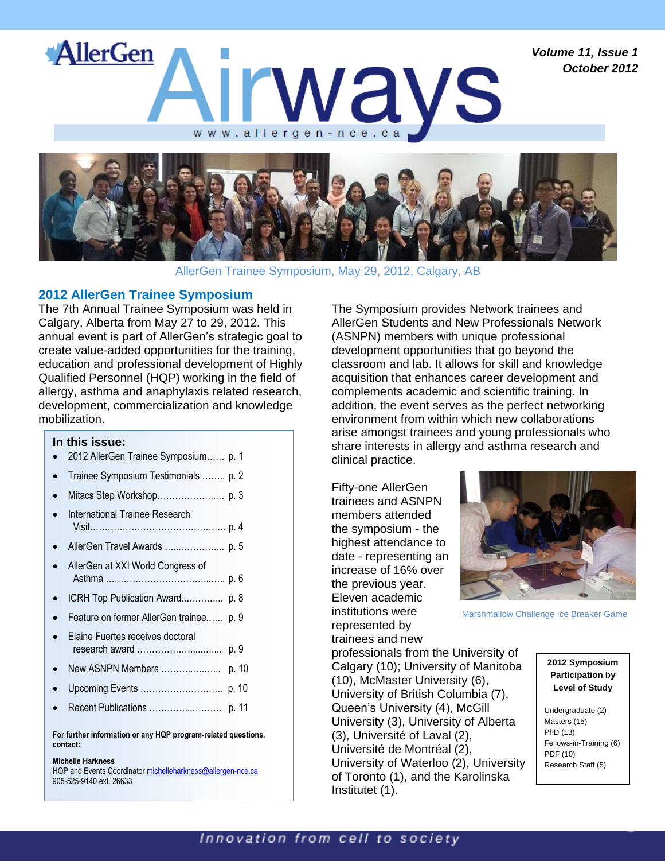*Volume 11, Issue 1 October 2012*





AllerGen Trainee Symposium, May 29, 2012, Calgary, AB

## **2012 AllerGen Trainee Symposium**

The 7th Annual Trainee Symposium was held in Calgary, Alberta from May 27 to 29, 2012. This annual event is part of AllerGen's strategic goal to create value-added opportunities for the training, education and professional development of Highly Qualified Personnel (HQP) working in the field of allergy, asthma and anaphylaxis related research, development, commercialization and knowledge mobilization.

#### **In this issue:**

- 2012 AllerGen Trainee Symposium…… p. 1
- Trainee Symposium Testimonials …….. p. 2
- Mitacs Step Workshop………………..… p. 3
- International Trainee Research Visit………………………………………. p. 4
- AllerGen Travel Awards …...…………... p. 5
- AllerGen at XXI World Congress of Asthma ……………………………...….. p. 6
- ICRH Top Publication Award..….……... p. 8
- Feature on former AllerGen trainee.….. p. 9
- Elaine Fuertes receives doctoral research award ……………….....….... p. 9
- New ASNPN Members ………..….…... p. 10
- Upcoming Events ………………………. p. 10
- Recent Publications …………...………. p. 11

**For further information or any HQP program-related questions, contact:**

#### **Michelle Harkness**

HQP and Events Coordinator michelleharkness@allergen-nce.ca 905-525-9140 ext. 26633

The Symposium provides Network trainees and AllerGen Students and New Professionals Network (ASNPN) members with unique professional development opportunities that go beyond the classroom and lab. It allows for skill and knowledge acquisition that enhances career development and complements academic and scientific training. In addition, the event serves as the perfect networking environment from within which new collaborations arise amongst trainees and young professionals who share interests in allergy and asthma research and clinical practice.

Fifty-one AllerGen trainees and ASNPN members attended the symposium - the highest attendance to date - representing an increase of 16% over the previous year. Eleven academic institutions were represented by trainees and new

professionals from the University of Calgary (10); University of Manitoba (10), McMaster University (6), University of British Columbia (7), Queen's University (4), McGill University (3), University of Alberta

University of Waterloo (2), University of Toronto (1), and the Karolinska

(3), Université of Laval (2), Université de Montréal (2),



Marshmallow Challenge Ice Breaker Game

### **2012 Symposium Participation by Level of Study**

Undergraduate (2) Masters (15) PhD (13) Fellows-in-Training (6) PDF (10) Research Staff (5)

Institutet (1).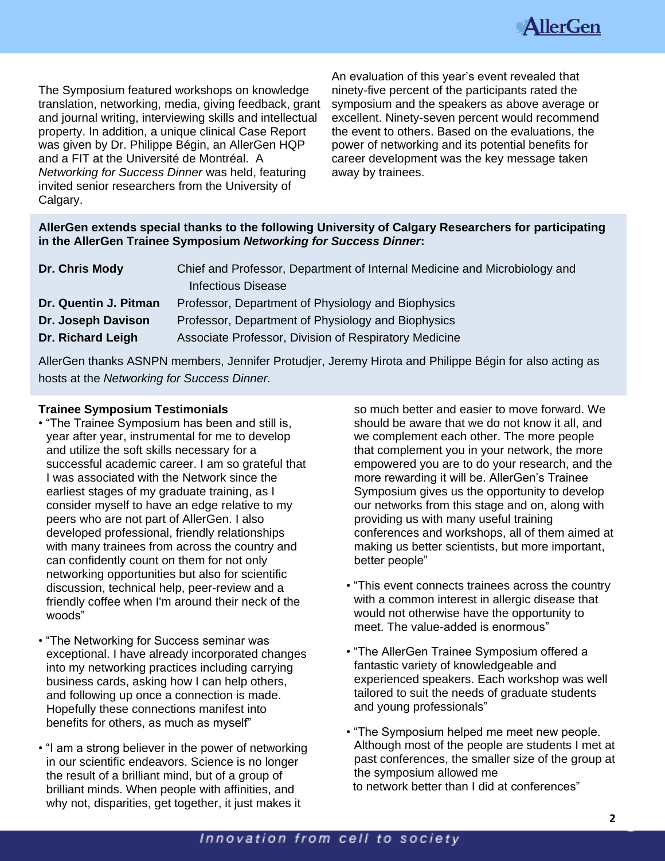

The Symposium featured workshops on knowledge translation, networking, media, giving feedback, grant and journal writing, interviewing skills and intellectual property. In addition, a unique clinical Case Report was given by Dr. Philippe Bégin, an AllerGen HQP and a FIT at the Université de Montréal. A *Networking for Success Dinner* was held, featuring invited senior researchers from the University of Calgary.

An evaluation of this year's event revealed that ninety-five percent of the participants rated the symposium and the speakers as above average or excellent. Ninety-seven percent would recommend the event to others. Based on the evaluations, the power of networking and its potential benefits for career development was the key message taken away by trainees.

## **AllerGen extends special thanks to the following University of Calgary Researchers for participating in the AllerGen Trainee Symposium** *Networking for Success Dinner***:**

| Dr. Chris Mody        | Chief and Professor, Department of Internal Medicine and Microbiology and |
|-----------------------|---------------------------------------------------------------------------|
|                       | <b>Infectious Disease</b>                                                 |
| Dr. Quentin J. Pitman | Professor, Department of Physiology and Biophysics                        |
| Dr. Joseph Davison    | Professor, Department of Physiology and Biophysics                        |
| Dr. Richard Leigh     | Associate Professor, Division of Respiratory Medicine                     |

AllerGen thanks ASNPN members, Jennifer Protudjer, Jeremy Hirota and Philippe Bégin for also acting as hosts at the *Networking for Success Dinner.*

### **Trainee Symposium Testimonials**

- "The Trainee Symposium has been and still is, year after year, instrumental for me to develop and utilize the soft skills necessary for a successful academic career. I am so grateful that I was associated with the Network since the earliest stages of my graduate training, as I consider myself to have an edge relative to my peers who are not part of AllerGen. I also developed professional, friendly relationships with many trainees from across the country and can confidently count on them for not only networking opportunities but also for scientific discussion, technical help, peer-review and a friendly coffee when I'm around their neck of the woods"
- "The Networking for Success seminar was exceptional. I have already incorporated changes into my networking practices including carrying business cards, asking how I can help others, and following up once a connection is made. Hopefully these connections manifest into benefits for others, as much as myself"
- "I am a strong believer in the power of networking in our scientific endeavors. Science is no longer the result of a brilliant mind, but of a group of brilliant minds. When people with affinities, and why not, disparities, get together, it just makes it

so much better and easier to move forward. We should be aware that we do not know it all, and we complement each other. The more people that complement you in your network, the more empowered you are to do your research, and the more rewarding it will be. AllerGen's Trainee Symposium gives us the opportunity to develop our networks from this stage and on, along with providing us with many useful training conferences and workshops, all of them aimed at making us better scientists, but more important, better people"

- "This event connects trainees across the country with a common interest in allergic disease that would not otherwise have the opportunity to meet. The value-added is enormous"
- "The AllerGen Trainee Symposium offered a fantastic variety of knowledgeable and experienced speakers. Each workshop was well tailored to suit the needs of graduate students and young professionals"
- "The Symposium helped me meet new people. Although most of the people are students I met at past conferences, the smaller size of the group at the symposium allowed me to network better than I did at conferences"

## Innovation from cell to society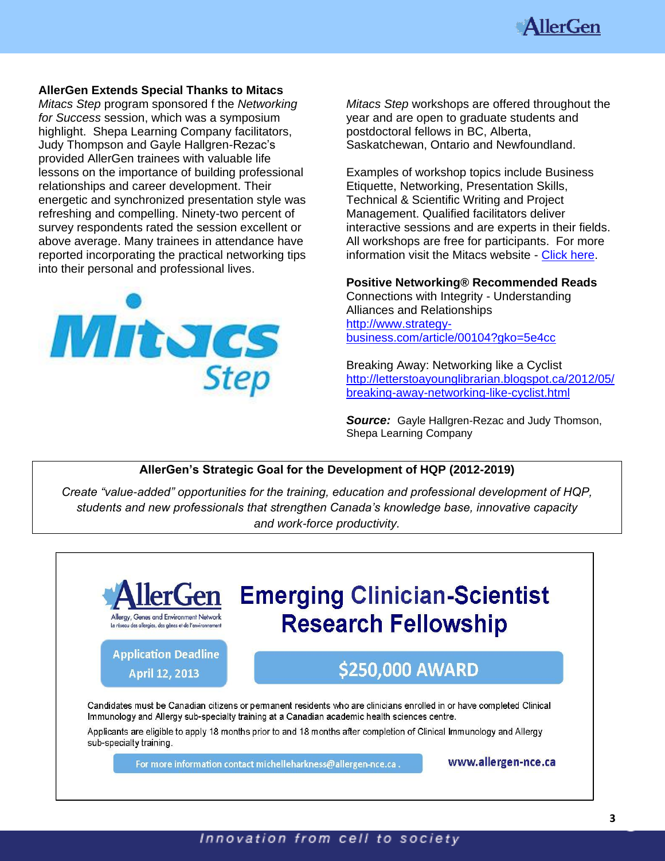

### **AllerGen Extends Special Thanks to Mitacs**

*Mitacs Step* program sponsored f the *Networking for Success* session, which was a symposium highlight. Shepa Learning Company facilitators, Judy Thompson and Gayle Hallgren-Rezac's provided AllerGen trainees with valuable life lessons on the importance of building professional relationships and career development. Their energetic and synchronized presentation style was refreshing and compelling. Ninety-two percent of survey respondents rated the session excellent or above average. Many trainees in attendance have reported incorporating the practical networking tips into their personal and professional lives.



*Mitacs Step* workshops are offered throughout the year and are open to graduate students and postdoctoral fellows in BC, Alberta, Saskatchewan, Ontario and Newfoundland.

Examples of workshop topics include Business Etiquette, Networking, Presentation Skills, Technical & Scientific Writing and Project Management. Qualified facilitators deliver interactive sessions and are experts in their fields. All workshops are free for participants. For more information visit the Mitacs website - [Click here.](http://www.mitacs.ca/step.)

**Positive Networking® Recommended Reads** 

Connections with Integrity - Understanding Alliances and Relationships [http://www.strategy](http://www.strategy-business.com/article/00104?gko=5e4cc)[business.com/article/00104?gko=5e4cc](http://www.strategy-business.com/article/00104?gko=5e4cc) 

Breaking Away: Networking like a Cyclist [http://letterstoayounglibrarian.blogspot.ca/2012/05/](http://letterstoayounglibrarian.blogspot.ca/2012/05/breaking-away-networking-like-cyclist.html) [breaking-away-networking-like-cyclist.html](http://letterstoayounglibrarian.blogspot.ca/2012/05/breaking-away-networking-like-cyclist.html)

*Source:* Gayle Hallgren-Rezac and Judy Thomson, Shepa Learning Company

## **AllerGen's Strategic Goal for the Development of HQP (2012-2019)**

*Create "value-added" opportunities for the training, education and professional development of HQP, students and new professionals that strengthen Canada's knowledge base, innovative capacity and work-force productivity.*



## Innovation from cell to society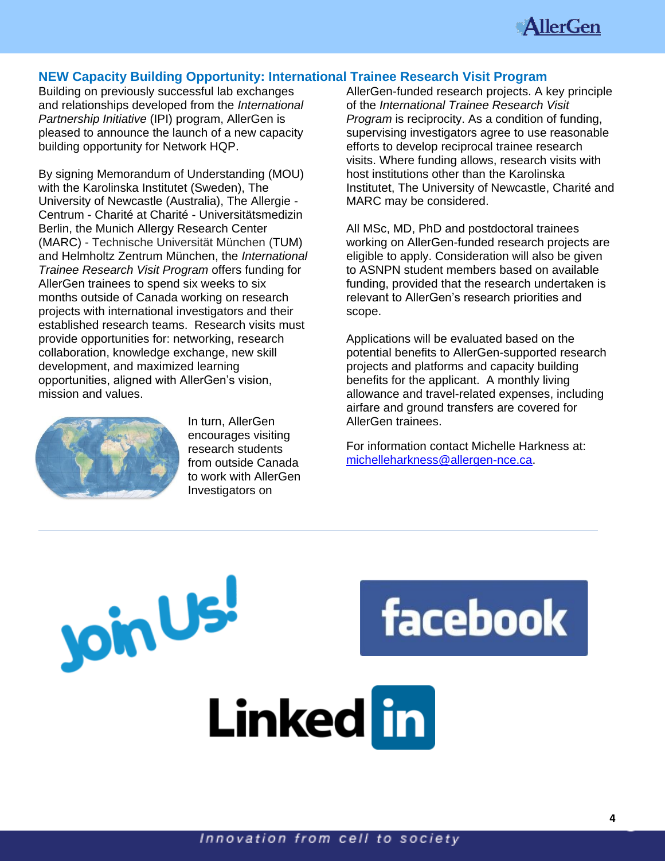

## **NEW Capacity Building Opportunity: International Trainee Research Visit Program**

Building on previously successful lab exchanges and relationships developed from the *International Partnership Initiative* (IPI) program, AllerGen is pleased to announce the launch of a new capacity building opportunity for Network HQP.

By signing Memorandum of Understanding (MOU) with the Karolinska Institutet (Sweden), The University of Newcastle (Australia), The Allergie - Centrum - Charité at Charité - Universitätsmedizin Berlin, the Munich Allergy Research Center (MARC) - Technische Universität München (TUM) and Helmholtz Zentrum München, the *International Trainee Research Visit Program* offers funding for AllerGen trainees to spend six weeks to six months outside of Canada working on research projects with international investigators and their established research teams. Research visits must provide opportunities for: networking, research collaboration, knowledge exchange, new skill development, and maximized learning opportunities, aligned with AllerGen's vision, mission and values.



**Join Us!** 

In turn, AllerGen encourages visiting research students from outside Canada to work with AllerGen Investigators on

AllerGen-funded research projects. A key principle of the *International Trainee Research Visit Program* is reciprocity. As a condition of funding, supervising investigators agree to use reasonable efforts to develop reciprocal trainee research visits. Where funding allows, research visits with host institutions other than the Karolinska Institutet, The University of Newcastle, Charité and MARC may be considered.

All MSc, MD, PhD and postdoctoral trainees working on AllerGen-funded research projects are eligible to apply. Consideration will also be given to ASNPN student members based on available funding, provided that the research undertaken is relevant to AllerGen's research priorities and scope.

Applications will be evaluated based on the potential benefits to AllerGen-supported research projects and platforms and capacity building benefits for the applicant. A monthly living allowance and travel-related expenses, including airfare and ground transfers are covered for AllerGen trainees.

For information contact Michelle Harkness at: [michelleharkness@allergen-nce.ca.](mailto:michelleharkness@allergen-nce.ca)

facebook

Innovation from cell to society

Linked in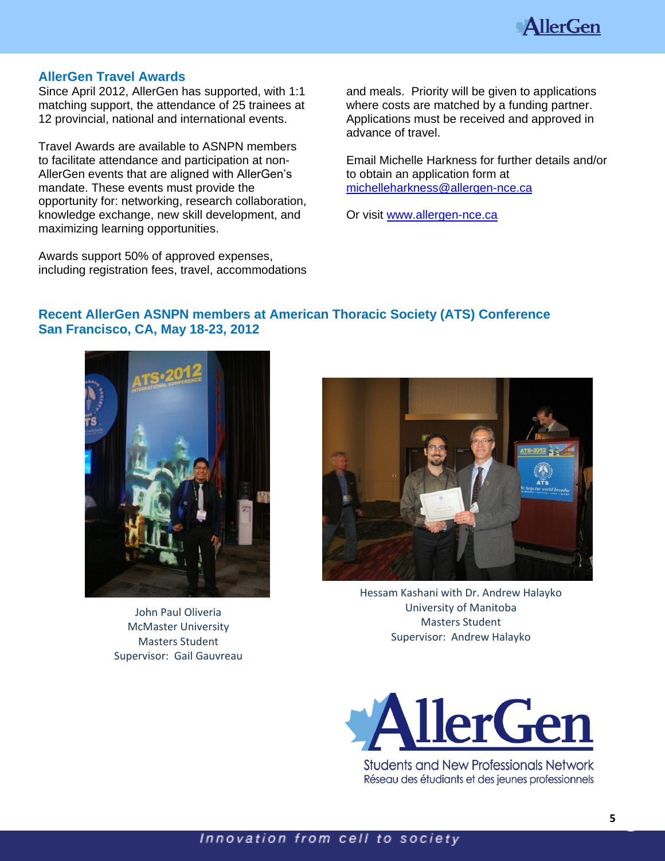

## **AllerGen Travel Awards**

Since April 2012, AllerGen has supported, with 1:1 matching support, the attendance of 25 trainees at 12 provincial, national and international events.

Travel Awards are available to ASNPN members to facilitate attendance and participation at non-AllerGen events that are aligned with AllerGen's mandate. These events must provide the opportunity for: networking, research collaboration, knowledge exchange, new skill development, and maximizing learning opportunities.

Awards support 50% of approved expenses, including registration fees, travel, accommodations and meals. Priority will be given to applications where costs are matched by a funding partner. Applications must be received and approved in advance of travel.

Email Michelle Harkness for further details and/or to obtain an application form at [michelleharkness@allergen-nce.ca](mailto:michelleharkness@allergen-nce.ca)

Or visit [www.allergen-nce.ca](http://www.allergen-nce.ca/)

## **Recent AllerGen ASNPN members at American Thoracic Society (ATS) Conference San Francisco, CA, May 18-23, 2012**



John Paul Oliveria McMaster University Masters Student Supervisor: Gail Gauvreau



Hessam Kashani with Dr. Andrew Halayko University of Manitoba Masters Student Supervisor: Andrew Halayko



**Students and New Professionals Network** Réseau des étudiants et des jeunes professionnels

## Innovation from cell to society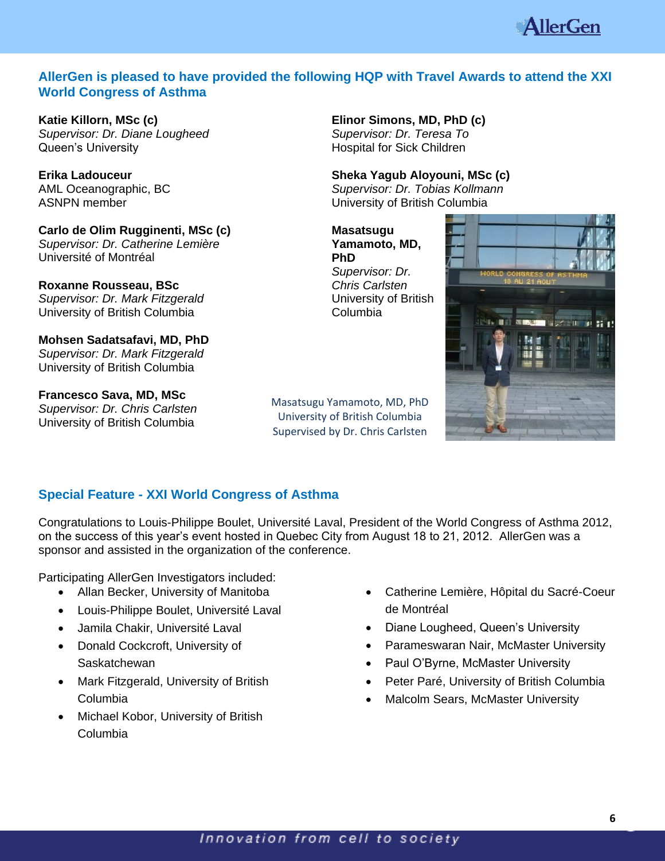

## **AllerGen is pleased to have provided the following HQP with Travel Awards to attend the XXI World Congress of Asthma**

**Katie Killorn, MSc (c)** *Supervisor: Dr. Diane Lougheed* Queen's University

**Erika Ladouceur** AML Oceanographic, BC ASNPN member

**Carlo de Olim Rugginenti, MSc (c)** *Supervisor: Dr. Catherine Lemière* Université of Montréal

**Roxanne Rousseau, BSc** *Supervisor: Dr. Mark Fitzgerald* University of British Columbia

**Mohsen Sadatsafavi, MD, PhD** *Supervisor: Dr. Mark Fitzgerald* University of British Columbia

**Francesco Sava, MD, MSc** *Supervisor: Dr. Chris Carlsten* University of British Columbia

**Elinor Simons, MD, PhD (c)** *Supervisor: Dr. Teresa To* Hospital for Sick Children

**Sheka Yagub Aloyouni, MSc (c)** 

*Supervisor: Dr. Tobias Kollmann* University of British Columbia

**Masatsugu Yamamoto, MD, PhD** *Supervisor: Dr. Chris Carlsten* University of British Columbia





## **Special Feature - XXI World Congress of Asthma**

Congratulations to Louis-Philippe Boulet, Université Laval, President of the World Congress of Asthma 2012, on the success of this year's event hosted in Quebec City from August 18 to 21, 2012. AllerGen was a sponsor and assisted in the organization of the conference.

Participating AllerGen Investigators included:

- Allan Becker, University of Manitoba
- Louis-Philippe Boulet, Université Laval
- Jamila Chakir, Université Laval
- Donald Cockcroft, University of **Saskatchewan**
- Mark Fitzgerald, University of British Columbia
- Michael Kobor, University of British Columbia
- Catherine Lemière, Hôpital du Sacré-Coeur de Montréal
- Diane Lougheed, Queen's University
- Parameswaran Nair, McMaster University
- Paul O'Byrne, McMaster University
- Peter Paré, University of British Columbia
- Malcolm Sears, McMaster University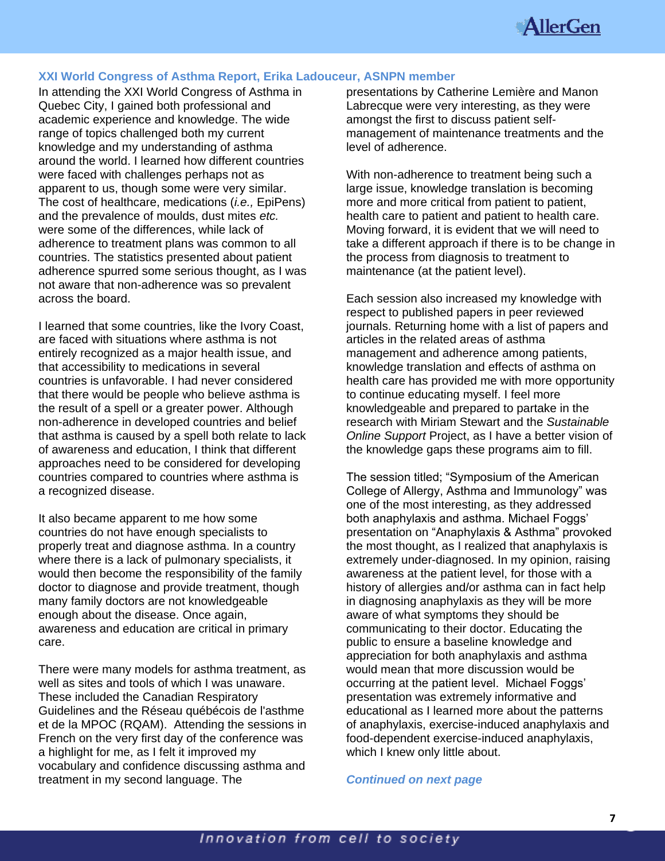

### **XXI World Congress of Asthma Report, Erika Ladouceur, ASNPN member**

In attending the XXI World Congress of Asthma in Quebec City, I gained both professional and academic experience and knowledge. The wide range of topics challenged both my current knowledge and my understanding of asthma around the world. I learned how different countries were faced with challenges perhaps not as apparent to us, though some were very similar. The cost of healthcare, medications (*i.e.,* EpiPens) and the prevalence of moulds, dust mites *etc.* were some of the differences, while lack of adherence to treatment plans was common to all countries. The statistics presented about patient adherence spurred some serious thought, as I was not aware that non-adherence was so prevalent across the board.

I learned that some countries, like the Ivory Coast, are faced with situations where asthma is not entirely recognized as a major health issue, and that accessibility to medications in several countries is unfavorable. I had never considered that there would be people who believe asthma is the result of a spell or a greater power. Although non-adherence in developed countries and belief that asthma is caused by a spell both relate to lack of awareness and education, I think that different approaches need to be considered for developing countries compared to countries where asthma is a recognized disease.

It also became apparent to me how some countries do not have enough specialists to properly treat and diagnose asthma. In a country where there is a lack of pulmonary specialists, it would then become the responsibility of the family doctor to diagnose and provide treatment, though many family doctors are not knowledgeable enough about the disease. Once again, awareness and education are critical in primary care.

There were many models for asthma treatment, as well as sites and tools of which I was unaware. These included the Canadian Respiratory Guidelines and the Réseau québécois de l'asthme et de la MPOC (RQAM). Attending the sessions in French on the very first day of the conference was a highlight for me, as I felt it improved my vocabulary and confidence discussing asthma and treatment in my second language. The

presentations by Catherine Lemière and Manon Labrecque were very interesting, as they were amongst the first to discuss patient selfmanagement of maintenance treatments and the level of adherence.

With non-adherence to treatment being such a large issue, knowledge translation is becoming more and more critical from patient to patient, health care to patient and patient to health care. Moving forward, it is evident that we will need to take a different approach if there is to be change in the process from diagnosis to treatment to maintenance (at the patient level).

Each session also increased my knowledge with respect to published papers in peer reviewed journals. Returning home with a list of papers and articles in the related areas of asthma management and adherence among patients, knowledge translation and effects of asthma on health care has provided me with more opportunity to continue educating myself. I feel more knowledgeable and prepared to partake in the research with Miriam Stewart and the *Sustainable Online Support* Project, as I have a better vision of the knowledge gaps these programs aim to fill.

The session titled; "Symposium of the American College of Allergy, Asthma and Immunology" was one of the most interesting, as they addressed both anaphylaxis and asthma. Michael Foggs' presentation on "Anaphylaxis & Asthma" provoked the most thought, as I realized that anaphylaxis is extremely under-diagnosed. In my opinion, raising awareness at the patient level, for those with a history of allergies and/or asthma can in fact help in diagnosing anaphylaxis as they will be more aware of what symptoms they should be communicating to their doctor. Educating the public to ensure a baseline knowledge and appreciation for both anaphylaxis and asthma would mean that more discussion would be occurring at the patient level. Michael Foggs' presentation was extremely informative and educational as I learned more about the patterns of anaphylaxis, exercise-induced anaphylaxis and food-dependent exercise-induced anaphylaxis, which I knew only little about.

*Continued on next page*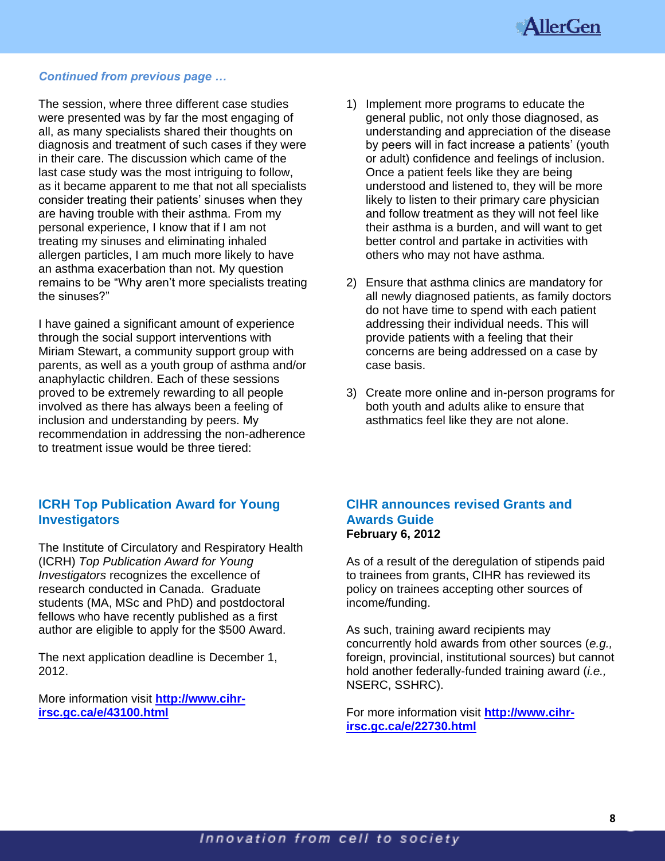

### *Continued from previous page …*

The session, where three different case studies were presented was by far the most engaging of all, as many specialists shared their thoughts on diagnosis and treatment of such cases if they were in their care. The discussion which came of the last case study was the most intriguing to follow, as it became apparent to me that not all specialists consider treating their patients' sinuses when they are having trouble with their asthma. From my personal experience, I know that if I am not treating my sinuses and eliminating inhaled allergen particles, I am much more likely to have an asthma exacerbation than not. My question remains to be "Why aren't more specialists treating the sinuses?"

I have gained a significant amount of experience through the social support interventions with Miriam Stewart, a community support group with parents, as well as a youth group of asthma and/or anaphylactic children. Each of these sessions proved to be extremely rewarding to all people involved as there has always been a feeling of inclusion and understanding by peers. My recommendation in addressing the non-adherence to treatment issue would be three tiered:

## **ICRH Top Publication Award for Young Investigators**

The Institute of Circulatory and Respiratory Health (ICRH) *Top Publication Award for Young Investigators* recognizes the excellence of research conducted in Canada. Graduate students (MA, MSc and PhD) and postdoctoral fellows who have recently published as a first author are eligible to apply for the \$500 Award.

The next application deadline is December 1, 2012.

More information visit **[http://www.cihr](http://www.cihr-irsc.gc.ca/e/43100.html)[irsc.gc.ca/e/43100.html](http://www.cihr-irsc.gc.ca/e/43100.html)**

- 1) Implement more programs to educate the general public, not only those diagnosed, as understanding and appreciation of the disease by peers will in fact increase a patients' (youth or adult) confidence and feelings of inclusion. Once a patient feels like they are being understood and listened to, they will be more likely to listen to their primary care physician and follow treatment as they will not feel like their asthma is a burden, and will want to get better control and partake in activities with others who may not have asthma.
- 2) Ensure that asthma clinics are mandatory for all newly diagnosed patients, as family doctors do not have time to spend with each patient addressing their individual needs. This will provide patients with a feeling that their concerns are being addressed on a case by case basis.
- 3) Create more online and in-person programs for both youth and adults alike to ensure that asthmatics feel like they are not alone.

## **CIHR announces revised Grants and Awards Guide February 6, 2012**

As of a result of the deregulation of stipends paid to trainees from grants, CIHR has reviewed its policy on trainees accepting other sources of income/funding.

As such, training award recipients may concurrently hold awards from other sources (*e.g.,* foreign, provincial, institutional sources) but cannot hold another federally-funded training award (*i.e.,* NSERC, SSHRC).

For more information visit **[http://www.cihr](http://www.cihr-irsc.gc.ca/e/22730.html)[irsc.gc.ca/e/22730.html](http://www.cihr-irsc.gc.ca/e/22730.html)**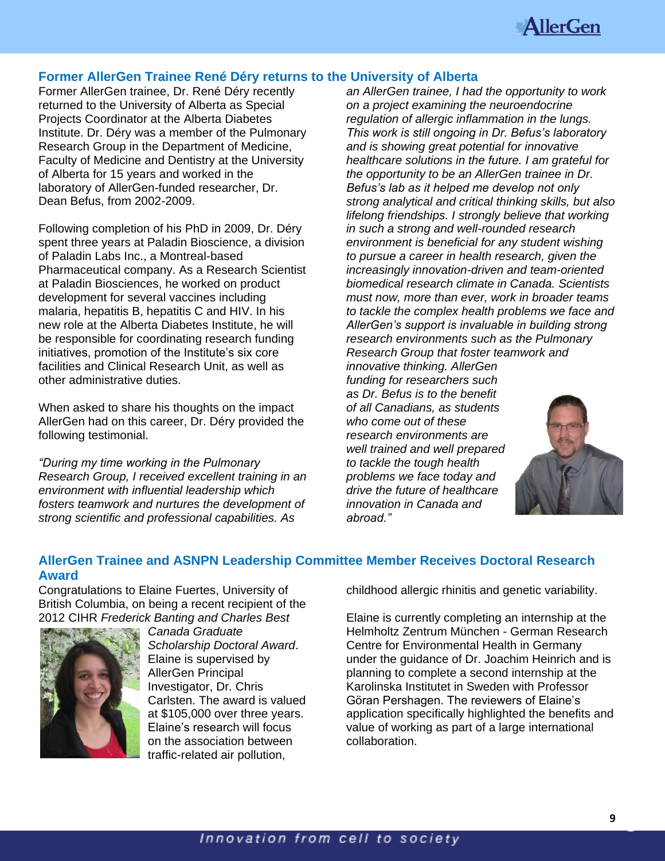

## **Former AllerGen Trainee René Déry returns to the University of Alberta**

Former AllerGen trainee, Dr. René Déry recently returned to the University of Alberta as Special Projects Coordinator at the Alberta Diabetes Institute. Dr. Déry was a member of the Pulmonary Research Group in the Department of Medicine, Faculty of Medicine and Dentistry at the University of Alberta for 15 years and worked in the laboratory of AllerGen-funded researcher, Dr. Dean Befus, from 2002-2009.

Following completion of his PhD in 2009, Dr. Déry spent three years at Paladin Bioscience, a division of Paladin Labs Inc., a Montreal-based Pharmaceutical company. As a Research Scientist at Paladin Biosciences, he worked on product development for several vaccines including malaria, hepatitis B, hepatitis C and HIV. In his new role at the Alberta Diabetes Institute, he will be responsible for coordinating research funding initiatives, promotion of the Institute's six core facilities and Clinical Research Unit, as well as other administrative duties.

When asked to share his thoughts on the impact AllerGen had on this career, Dr. Déry provided the following testimonial.

*"During my time working in the Pulmonary Research Group, I received excellent training in an environment with influential leadership which fosters teamwork and nurtures the development of strong scientific and professional capabilities. As* 

*an AllerGen trainee, I had the opportunity to work on a project examining the neuroendocrine regulation of allergic inflammation in the lungs. This work is still ongoing in Dr. Befus's laboratory and is showing great potential for innovative healthcare solutions in the future. I am grateful for the opportunity to be an AllerGen trainee in Dr. Befus's lab as it helped me develop not only strong analytical and critical thinking skills, but also lifelong friendships. I strongly believe that working in such a strong and well-rounded research environment is beneficial for any student wishing to pursue a career in health research, given the increasingly innovation-driven and team-oriented biomedical research climate in Canada. Scientists must now, more than ever, work in broader teams to tackle the complex health problems we face and AllerGen's support is invaluable in building strong research environments such as the Pulmonary Research Group that foster teamwork and* 

*innovative thinking. AllerGen funding for researchers such as Dr. Befus is to the benefit of all Canadians, as students who come out of these research environments are well trained and well prepared to tackle the tough health problems we face today and drive the future of healthcare innovation in Canada and abroad."* 



### **AllerGen Trainee and ASNPN Leadership Committee Member Receives Doctoral Research Award**

Congratulations to Elaine Fuertes, University of British Columbia, on being a recent recipient of the 2012 CIHR *Frederick Banting and Charles Best* 



*Canada Graduate Scholarship Doctoral Award*. Elaine is supervised by AllerGen Principal Investigator, Dr. Chris Carlsten. The award is valued at \$105,000 over three years. Elaine's research will focus on the association between traffic-related air pollution,

childhood allergic rhinitis and genetic variability.

Elaine is currently completing an internship at the Helmholtz Zentrum München - German Research Centre for Environmental Health in Germany under the guidance of Dr. Joachim Heinrich and is planning to complete a second internship at the Karolinska Institutet in Sweden with Professor Göran Pershagen. The reviewers of Elaine's application specifically highlighted the benefits and value of working as part of a large international collaboration.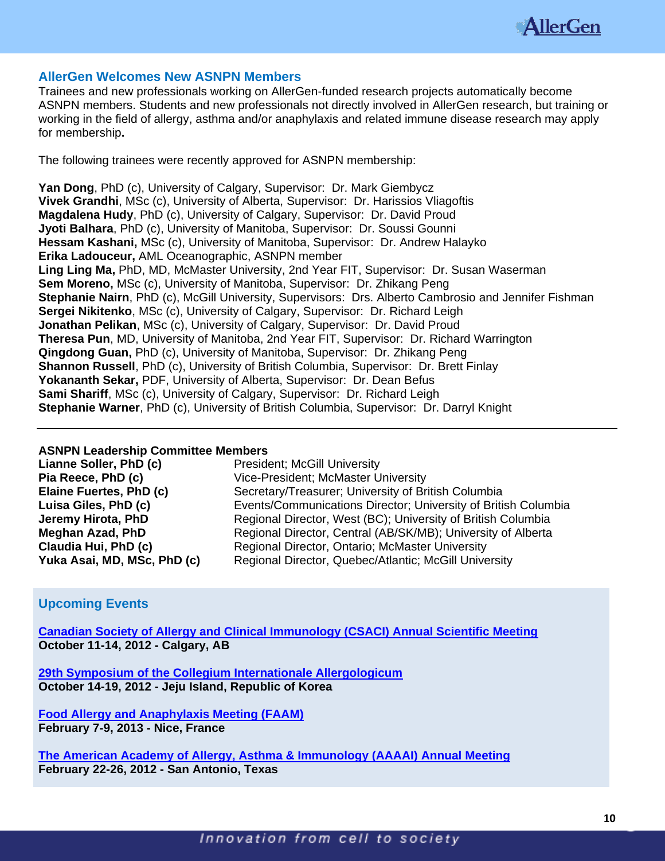

### **AllerGen Welcomes New ASNPN Members**

Trainees and new professionals working on AllerGen-funded research projects automatically become ASNPN members. Students and new professionals not directly involved in AllerGen research, but training or working in the field of allergy, asthma and/or anaphylaxis and related immune disease research may apply for membership**.**

The following trainees were recently approved for ASNPN membership:

**Yan Dong**, PhD (c), University of Calgary, Supervisor: Dr. Mark Giembycz **Vivek Grandhi**, MSc (c), University of Alberta, Supervisor: Dr. Harissios Vliagoftis **Magdalena Hudy**, PhD (c), University of Calgary, Supervisor: Dr. David Proud **Jyoti Balhara**, PhD (c), University of Manitoba, Supervisor: Dr. Soussi Gounni **Hessam Kashani,** MSc (c), University of Manitoba, Supervisor: Dr. Andrew Halayko **Erika Ladouceur,** AML Oceanographic, ASNPN member **Ling Ling Ma,** PhD, MD, McMaster University, 2nd Year FIT, Supervisor: Dr. Susan Waserman **Sem Moreno,** MSc (c), University of Manitoba, Supervisor: Dr. Zhikang Peng **Stephanie Nairn**, PhD (c), McGill University, Supervisors: Drs. Alberto Cambrosio and Jennifer Fishman **Sergei Nikitenko**, MSc (c), University of Calgary, Supervisor: Dr. Richard Leigh **Jonathan Pelikan**, MSc (c), University of Calgary, Supervisor: Dr. David Proud **Theresa Pun**, MD, University of Manitoba, 2nd Year FIT, Supervisor: Dr. Richard Warrington **Qingdong Guan,** PhD (c), University of Manitoba, Supervisor: Dr. Zhikang Peng **Shannon Russell**, PhD (c), University of British Columbia, Supervisor: Dr. Brett Finlay **Yokananth Sekar,** PDF, University of Alberta, Supervisor: Dr. Dean Befus **Sami Shariff**, MSc (c), University of Calgary, Supervisor: Dr. Richard Leigh **Stephanie Warner**, PhD (c), University of British Columbia, Supervisor: Dr. Darryl Knight

### **ASNPN Leadership Committee Members**

| Lianne Soller, PhD (c)      | <b>President; McGill University</b>                            |
|-----------------------------|----------------------------------------------------------------|
| Pia Reece, PhD (c)          | Vice-President; McMaster University                            |
| Elaine Fuertes, PhD (c)     | Secretary/Treasurer; University of British Columbia            |
| Luisa Giles, PhD (c)        | Events/Communications Director; University of British Columbia |
| Jeremy Hirota, PhD          | Regional Director, West (BC); University of British Columbia   |
| <b>Meghan Azad, PhD</b>     | Regional Director, Central (AB/SK/MB); University of Alberta   |
| Claudia Hui, PhD (c)        | Regional Director, Ontario; McMaster University                |
| Yuka Asai, MD, MSc, PhD (c) | Regional Director, Quebec/Atlantic; McGill University          |

## **Upcoming Events**

**[Canadian Society of Allergy and Clinical Immunology \(CSACI\) Annual Scientific Meeting](http://www.csaci.ca/) October 11-14, 2012 - Calgary, AB** 

**[29th Symposium of the Collegium Internationale Allergologicum](http://www.ciaweb.org/future-symposia/2012) October 14-19, 2012 - Jeju Island, Republic of Korea**

**[Food Allergy and Anaphylaxis Meeting \(FAAM\)](http://eaaci.net/activities/eaaci-focused-meetings/1971-faam-2013-food-allergy-and-anaphylaxis-meeting.html) February 7-9, 2013 - Nice, France**

**[The American Academy of Allergy, Asthma & Immunology \(AAAAI\)](http://annualmeeting.aaaai.org/) Annual Meeting February 22-26, 2012 - San Antonio, Texas**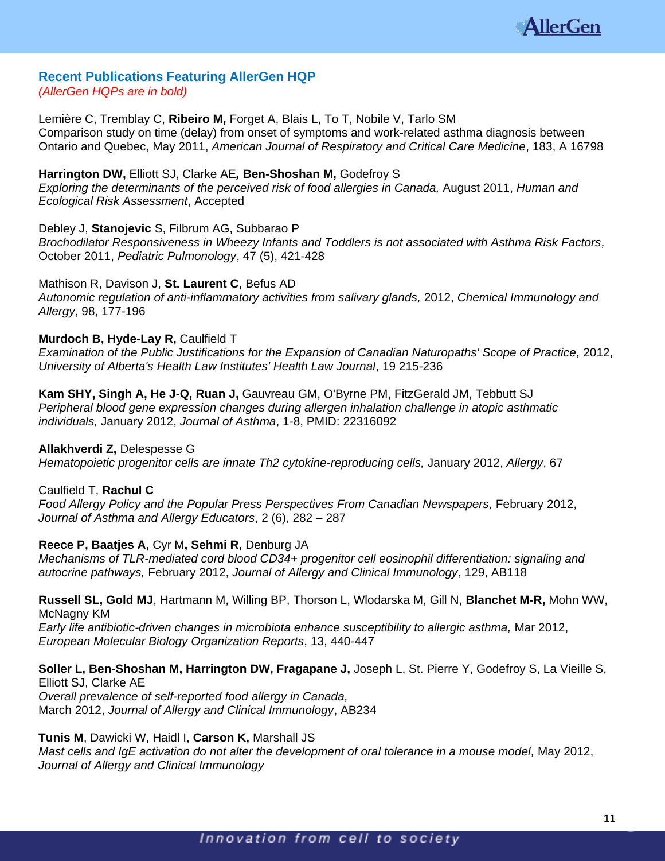

### **Recent Publications Featuring AllerGen HQP** *(AllerGen HQPs are in bold)*

Lemière C, Tremblay C, **Ribeiro M,** Forget A, Blais L, To T, Nobile V, Tarlo SM Comparison study on time (delay) from onset of symptoms and work-related asthma diagnosis between Ontario and Quebec, May 2011, *American Journal of Respiratory and Critical Care Medicine*, 183, A 16798

**Harrington DW,** Elliott SJ, Clarke AE*,* **Ben-Shoshan M,** Godefroy S *Exploring the determinants of the perceived risk of food allergies in Canada, August 2011, Human and Ecological Risk Assessment*, Accepted

Debley J, **Stanojevic** S, Filbrum AG, Subbarao P *Brochodilator Responsiveness in Wheezy Infants and Toddlers is not associated with Asthma Risk Factors,*  October 2011, *Pediatric Pulmonology*, 47 (5), 421-428

## Mathison R, Davison J, **St. Laurent C,** Befus AD

*Autonomic regulation of anti-inflammatory activities from salivary glands,* 2012, *Chemical Immunology and Allergy*, 98, 177-196

## **Murdoch B, Hyde-Lay R, Caulfield T**

*Examination of the Public Justifications for the Expansion of Canadian Naturopaths' Scope of Practice, 2012, University of Alberta's Health Law Institutes' Health Law Journal*, 19 215-236

## **Kam SHY, Singh A, He J-Q, Ruan J,** Gauvreau GM, O'Byrne PM, FitzGerald JM, Tebbutt SJ

*Peripheral blood gene expression changes during allergen inhalation challenge in atopic asthmatic individuals,* January 2012, *Journal of Asthma*, 1-8, PMID: 22316092

**Allakhverdi Z,** Delespesse G

*Hematopoietic progenitor cells are innate Th2 cytokine-reproducing cells,* January 2012, *Allergy*, 67

## Caulfield T, **Rachul C**

*Food Allergy Policy and the Popular Press Perspectives From Canadian Newspapers,* February 2012, *Journal of Asthma and Allergy Educators*, 2 (6), 282 – 287

## **Reece P, Baatjes A,** Cyr M**, Sehmi R,** Denburg JA

*Mechanisms of TLR-mediated cord blood CD34+ progenitor cell eosinophil differentiation: signaling and autocrine pathways,* February 2012, *Journal of Allergy and Clinical Immunology*, 129, AB118

## **Russell SL, Gold MJ**, Hartmann M, Willing BP, Thorson L, Wlodarska M, Gill N, **Blanchet M-R,** Mohn WW, McNagny KM

*Early life antibiotic-driven changes in microbiota enhance susceptibility to allergic asthma,* Mar 2012, *European Molecular Biology Organization Reports*, 13, 440-447

# **Soller L, Ben-Shoshan M, Harrington DW, Fragapane J,** Joseph L, St. Pierre Y, Godefroy S, La Vieille S,

Elliott SJ, Clarke AE *Overall prevalence of self-reported food allergy in Canada,* March 2012, *Journal of Allergy and Clinical Immunology*, AB234

## **Tunis M**, Dawicki W, Haidl I, **Carson K,** Marshall JS

*Mast cells and IgE activation do not alter the development of oral tolerance in a mouse model, May 2012, Journal of Allergy and Clinical Immunology*